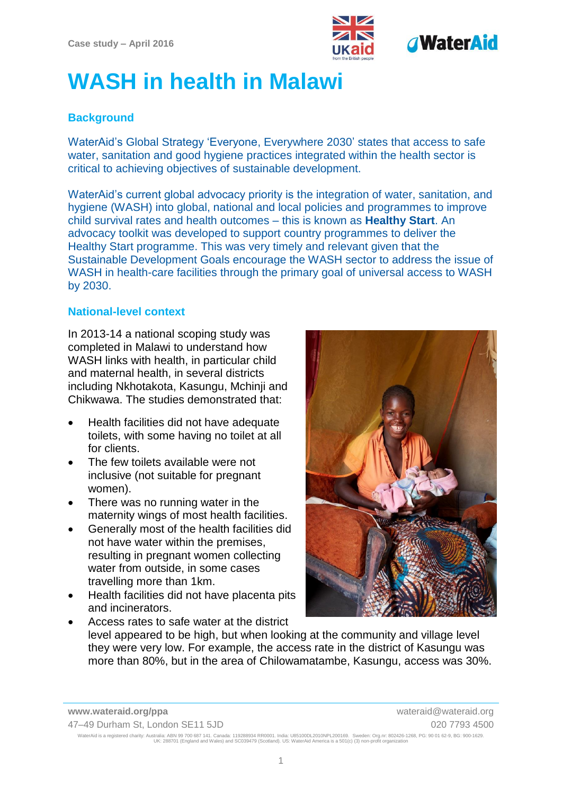

# **WASH in health in Malawi**

### **Background**

WaterAid's Global Strategy 'Everyone, Everywhere 2030' states that access to safe water, sanitation and good hygiene practices integrated within the health sector is critical to achieving objectives of sustainable development.

WaterAid's current global advocacy priority is the integration of water, sanitation, and hygiene (WASH) into global, national and local policies and programmes to improve child survival rates and health outcomes – this is known as **Healthy Start**. An advocacy toolkit was developed to support country programmes to deliver the Healthy Start programme. This was very timely and relevant given that the Sustainable Development Goals encourage the WASH sector to address the issue of WASH in health-care facilities through the primary goal of universal access to WASH by 2030.

#### **National-level context**

In 2013-14 a national scoping study was completed in Malawi to understand how WASH links with health, in particular child and maternal health, in several districts including Nkhotakota, Kasungu, Mchinji and Chikwawa. The studies demonstrated that:

- Health facilities did not have adequate toilets, with some having no toilet at all for clients.
- The few toilets available were not inclusive (not suitable for pregnant women).
- There was no running water in the maternity wings of most health facilities.
- Generally most of the health facilities did not have water within the premises, resulting in pregnant women collecting water from outside, in some cases travelling more than 1km.
- Health facilities did not have placenta pits and incinerators.



 Access rates to safe water at the district level appeared to be high, but when looking at the community and village level they were very low. For example, the access rate in the district of Kasungu was more than 80%, but in the area of Chilowamatambe, Kasungu, access was 30%.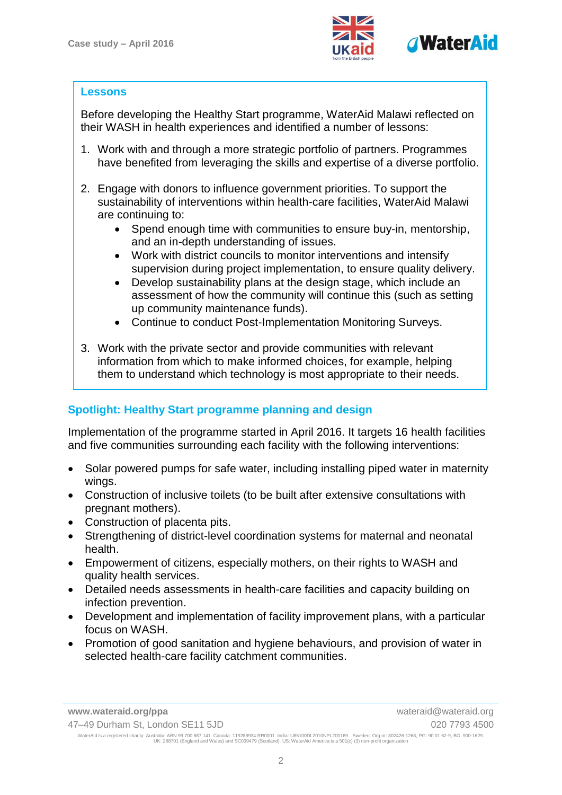

#### **Lessons**

Before developing the Healthy Start programme, WaterAid Malawi reflected on their WASH in health experiences and identified a number of lessons:

- 1. Work with and through a more strategic portfolio of partners. Programmes have benefited from leveraging the skills and expertise of a diverse portfolio.
- 2. Engage with donors to influence government priorities. To support the sustainability of interventions within health-care facilities, WaterAid Malawi are continuing to:
	- Spend enough time with communities to ensure buy-in, mentorship, and an in-depth understanding of issues.
	- Work with district councils to monitor interventions and intensify supervision during project implementation, to ensure quality delivery.
	- Develop sustainability plans at the design stage, which include an assessment of how the community will continue this (such as setting up community maintenance funds).
	- Continue to conduct Post-Implementation Monitoring Surveys.
- 3. Work with the private sector and provide communities with relevant information from which to make informed choices, for example, helping them to understand which technology is most appropriate to their needs.

## **Spotlight: Healthy Start programme planning and design**

Implementation of the programme started in April 2016. It targets 16 health facilities and five communities surrounding each facility with the following interventions:

- Solar powered pumps for safe water, including installing piped water in maternity wings.
- Construction of inclusive toilets (to be built after extensive consultations with pregnant mothers).
- Construction of placenta pits.
- Strengthening of district-level coordination systems for maternal and neonatal health.
- Empowerment of citizens, especially mothers, on their rights to WASH and quality health services.
- Detailed needs assessments in health-care facilities and capacity building on infection prevention.
- Development and implementation of facility improvement plans, with a particular focus on WASH.
- Promotion of good sanitation and hygiene behaviours, and provision of water in selected health-care facility catchment communities.